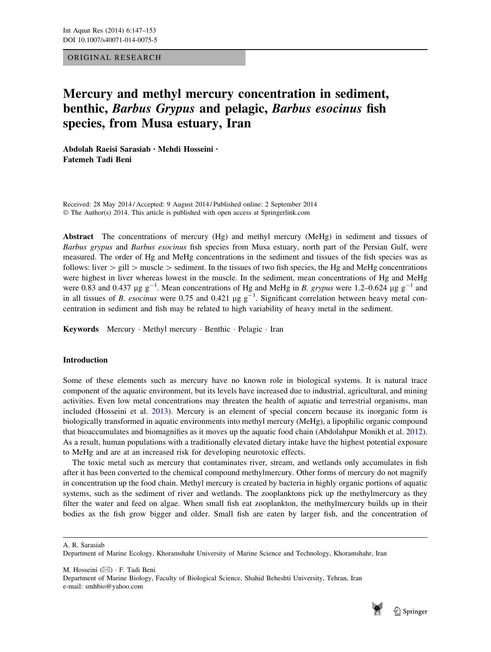# ORIGINAL RESEARCH

# Mercury and methyl mercury concentration in sediment, benthic, Barbus Grypus and pelagic, Barbus esocinus fish species, from Musa estuary, Iran

Abdolah Raeisi Sarasiab • Mehdi Hosseini • Fatemeh Tadi Beni

Received: 28 May 2014 / Accepted: 9 August 2014 / Published online: 2 September 2014 © The Author(s) 2014. This article is published with open access at Springerlink.com

Abstract The concentrations of mercury (Hg) and methyl mercury (MeHg) in sediment and tissues of Barbus grypus and Barbus esocinus fish species from Musa estuary, north part of the Persian Gulf, were measured. The order of Hg and MeHg concentrations in the sediment and tissues of the fish species was as follows: liver  $\ge$  gill  $\ge$  muscle  $\ge$  sediment. In the tissues of two fish species, the Hg and MeHg concentrations were highest in liver whereas lowest in the muscle. In the sediment, mean concentrations of Hg and MeHg were 0.83 and 0.437  $\mu$ g g<sup>-1</sup>. Mean concentrations of Hg and MeHg in *B. grypus* were 1.2–0.624  $\mu$ g g<sup>-1</sup> and in all tissues of *B. esocinus* were 0.75 and 0.421  $\mu$ g g<sup>-1</sup>. Significant correlation between heavy metal concentration in sediment and fish may be related to high variability of heavy metal in the sediment.

Keywords Mercury · Methyl mercury · Benthic · Pelagic · Iran

# Introduction

Some of these elements such as mercury have no known role in biological systems. It is natural trace component of the aquatic environment, but its levels have increased due to industrial, agricultural, and mining activities. Even low metal concentrations may threaten the health of aquatic and terrestrial organisms, man included (Hosseini et al. [2013](#page-5-0)). Mercury is an element of special concern because its inorganic form is biologically transformed in aquatic environments into methyl mercury (MeHg), a lipophilic organic compound that bioaccumulates and biomagnifies as it moves up the aquatic food chain (Abdolahpur Monikh et al. [2012\)](#page-5-0). As a result, human populations with a traditionally elevated dietary intake have the highest potential exposure to MeHg and are at an increased risk for developing neurotoxic effects.

The toxic metal such as mercury that contaminates river, stream, and wetlands only accumulates in fish after it has been converted to the chemical compound methylmercury. Other forms of mercury do not magnify in concentration up the food chain. Methyl mercury is created by bacteria in highly organic portions of aquatic systems, such as the sediment of river and wetlands. The zooplanktons pick up the methylmercury as they filter the water and feed on algae. When small fish eat zooplankton, the methylmercury builds up in their bodies as the fish grow bigger and older. Small fish are eaten by larger fish, and the concentration of

A. R. Sarasiab

M. Hosseini (&) - F. Tadi Beni

Department of Marine Biology, Faculty of Biological Science, Shahid Beheshti University, Tehran, Iran e-mail: smhbio@yahoo.com



Department of Marine Ecology, Khoramshahr University of Marine Science and Technology, Khoramshahr, Iran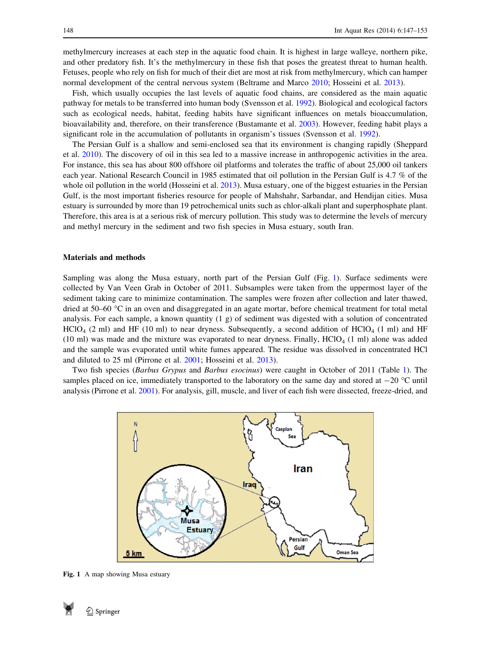methylmercury increases at each step in the aquatic food chain. It is highest in large walleye, northern pike, and other predatory fish. It's the methylmercury in these fish that poses the greatest threat to human health. Fetuses, people who rely on fish for much of their diet are most at risk from methylmercury, which can hamper normal development of the central nervous system (Beltrame and Marco [2010;](#page-5-0) Hosseini et al. [2013\)](#page-5-0).

Fish, which usually occupies the last levels of aquatic food chains, are considered as the main aquatic pathway for metals to be transferred into human body (Svensson et al. [1992\)](#page-6-0). Biological and ecological factors such as ecological needs, habitat, feeding habits have significant influences on metals bioaccumulation, bioavailability and, therefore, on their transference (Bustamante et al. [2003\)](#page-5-0). However, feeding habit plays a significant role in the accumulation of pollutants in organism's tissues (Svensson et al. [1992\)](#page-6-0).

The Persian Gulf is a shallow and semi-enclosed sea that its environment is changing rapidly (Sheppard et al. [2010\)](#page-6-0). The discovery of oil in this sea led to a massive increase in anthropogenic activities in the area. For instance, this sea has about 800 offshore oil platforms and tolerates the traffic of about 25,000 oil tankers each year. National Research Council in 1985 estimated that oil pollution in the Persian Gulf is 4.7 % of the whole oil pollution in the world (Hosseini et al. [2013](#page-5-0)). Musa estuary, one of the biggest estuaries in the Persian Gulf, is the most important fisheries resource for people of Mahshahr, Sarbandar, and Hendijan cities. Musa estuary is surrounded by more than 19 petrochemical units such as chlor-alkali plant and superphosphate plant. Therefore, this area is at a serious risk of mercury pollution. This study was to determine the levels of mercury and methyl mercury in the sediment and two fish species in Musa estuary, south Iran.

#### Materials and methods

Sampling was along the Musa estuary, north part of the Persian Gulf (Fig. 1). Surface sediments were collected by Van Veen Grab in October of 2011. Subsamples were taken from the uppermost layer of the sediment taking care to minimize contamination. The samples were frozen after collection and later thawed, dried at 50–60 °C in an oven and disaggregated in an agate mortar, before chemical treatment for total metal analysis. For each sample, a known quantity (1 g) of sediment was digested with a solution of concentrated  $\text{HClO}_4$  (2 ml) and HF (10 ml) to near dryness. Subsequently, a second addition of  $\text{HClO}_4$  (1 ml) and HF  $(10 \text{ ml})$  was made and the mixture was evaporated to near dryness. Finally, HClO<sub>4</sub>  $(1 \text{ ml})$  alone was added and the sample was evaporated until white fumes appeared. The residue was dissolved in concentrated HCl and diluted to 25 ml (Pirrone et al. [2001;](#page-5-0) Hosseini et al. [2013\)](#page-5-0).

Two fish species (Barbus Grypus and Barbus esocinus) were caught in October of 2011 (Table [1\)](#page-2-0). The samples placed on ice, immediately transported to the laboratory on the same day and stored at  $-20$  °C until analysis (Pirrone et al. [2001](#page-5-0)). For analysis, gill, muscle, and liver of each fish were dissected, freeze-dried, and



Fig. 1 A map showing Musa estuary

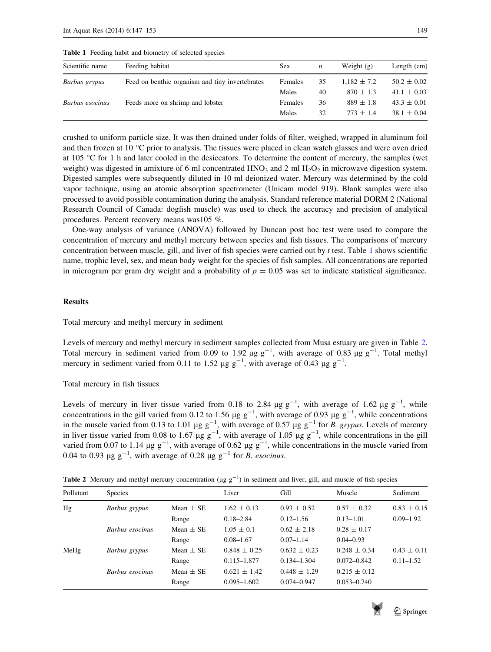| Scientific name | Feeding habitat                                 | <b>Sex</b> | n  | Weight $(g)$    | Length $(cm)$   |
|-----------------|-------------------------------------------------|------------|----|-----------------|-----------------|
| Barbus grypus   | Feed on benthic organism and tiny invertebrates | Females    | 35 | $1.182 \pm 7.2$ | $50.2 \pm 0.02$ |
|                 |                                                 | Males      | 40 | $870 \pm 1.3$   | $41.1 \pm 0.03$ |
| Barbus esocinus | Feeds more on shrimp and lobster                | Females    | 36 | $889 \pm 1.8$   | $43.3 \pm 0.01$ |
|                 |                                                 | Males      | 32 | $773 + 14$      | $38.1 \pm 0.04$ |

<span id="page-2-0"></span>Table 1 Feeding habit and biometry of selected species

crushed to uniform particle size. It was then drained under folds of filter, weighed, wrapped in aluminum foil and then frozen at 10  $^{\circ}$ C prior to analysis. The tissues were placed in clean watch glasses and were oven dried at 105 C for 1 h and later cooled in the desiccators. To determine the content of mercury, the samples (wet weight) was digested in amixture of 6 ml concentrated  $HNO<sub>3</sub>$  and 2 ml  $H<sub>2</sub>O<sub>2</sub>$  in microwave digestion system. Digested samples were subsequently diluted in 10 ml deionized water. Mercury was determined by the cold vapor technique, using an atomic absorption spectrometer (Unicam model 919). Blank samples were also processed to avoid possible contamination during the analysis. Standard reference material DORM 2 (National Research Council of Canada: dogfish muscle) was used to check the accuracy and precision of analytical procedures. Percent recovery means was105 %.

One-way analysis of variance (ANOVA) followed by Duncan post hoc test were used to compare the concentration of mercury and methyl mercury between species and fish tissues. The comparisons of mercury concentration between muscle, gill, and liver of fish species were carried out by  $t$  test. Table 1 shows scientific name, trophic level, sex, and mean body weight for the species of fish samples. All concentrations are reported in microgram per gram dry weight and a probability of  $p = 0.05$  was set to indicate statistical significance.

## Results

Total mercury and methyl mercury in sediment

Levels of mercury and methyl mercury in sediment samples collected from Musa estuary are given in Table 2. Total mercury in sediment varied from 0.09 to 1.92  $\mu$ g g<sup>-1</sup>, with average of 0.83  $\mu$ g g<sup>-1</sup>. Total methyl mercury in sediment varied from 0.11 to 1.52  $\mu$ g g<sup>-1</sup>, with average of 0.43  $\mu$ g g<sup>-1</sup>.

Total mercury in fish tissues

Levels of mercury in liver tissue varied from 0.18 to 2.84  $\mu$ g g<sup>-1</sup>, with average of 1.62  $\mu$ g g<sup>-1</sup>, while concentrations in the gill varied from 0.12 to 1.56  $\mu$ g g<sup>-1</sup>, with average of 0.93  $\mu$ g g<sup>-1</sup>, while concentrations in the muscle varied from 0.13 to 1.01  $\mu$ g g<sup>-1</sup>, with average of 0.57  $\mu$ g g<sup>-1</sup> for *B*. *grypus*. Levels of mercury in liver tissue varied from 0.08 to 1.67  $\mu$ g g<sup>-1</sup>, with average of 1.05  $\mu$ g g<sup>-1</sup>, while concentrations in the gill varied from 0.07 to 1.14  $\mu$ g g<sup>-1</sup>, with average of 0.62  $\mu$ g g<sup>-1</sup>, while concentrations in the muscle varied from 0.04 to 0.93  $\mu$ g g<sup>-1</sup>, with average of 0.28  $\mu$ g g<sup>-1</sup> for *B*. *esocinus*.

**Table 2** Mercury and methyl mercury concentration ( $\mu$ g g<sup>-1</sup>) in sediment and liver, gill, and muscle of fish species

| Pollutant | <b>Species</b>  |               | Liver            | Gill             | Muscle           | Sediment        |
|-----------|-----------------|---------------|------------------|------------------|------------------|-----------------|
| Hg        | Barbus grypus   | Mean $\pm$ SE | $1.62 \pm 0.13$  | $0.93 \pm 0.52$  | $0.57 \pm 0.32$  | $0.83 \pm 0.15$ |
|           |                 | Range         | $0.18 - 2.84$    | $0.12 - 1.56$    | $0.13 - 1.01$    | $0.09 - 1.92$   |
|           | Barbus esocinus | Mean $\pm$ SE | $1.05 \pm 0.1$   | $0.62 \pm 2.18$  | $0.28 \pm 0.17$  |                 |
|           |                 | Range         | $0.08 - 1.67$    | $0.07 - 1.14$    | $0.04 - 0.93$    |                 |
| MeHg      | Barbus grypus   | Mean $\pm$ SE | $0.848 \pm 0.25$ | $0.632 \pm 0.23$ | $0.248 \pm 0.34$ | $0.43 \pm 0.11$ |
|           |                 | Range         | $0.115 - 1.877$  | $0.134 - 1.304$  | $0.072 - 0.842$  | $0.11 - 1.52$   |
|           | Barbus esocinus | Mean $\pm$ SE | $0.621 \pm 1.42$ | $0.448 \pm 1.29$ | $0.215 \pm 0.12$ |                 |
|           |                 | Range         | $0.095 - 1.602$  | $0.074 - 0.947$  | $0.053 - 0.740$  |                 |
|           |                 |               |                  |                  |                  |                 |

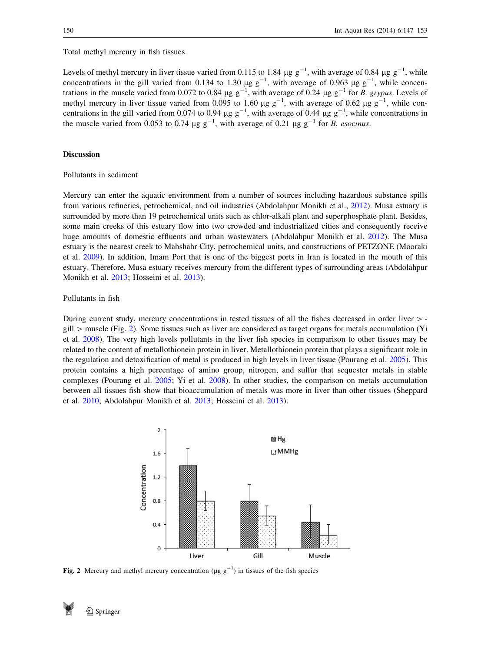Total methyl mercury in fish tissues

Levels of methyl mercury in liver tissue varied from 0.115 to 1.84  $\mu$ g g<sup>-1</sup>, with average of 0.84  $\mu$ g g<sup>-1</sup>, while concentrations in the gill varied from 0.134 to 1.30  $\mu$ g g<sup>-1</sup>, with average of 0.963  $\mu$ g g<sup>-1</sup>, while concentrations in the muscle varied from 0.072 to 0.84  $\mu$ g g<sup>-1</sup>, with average of 0.24  $\mu$ g g<sup>-1</sup> for *B*. *grypus*. Levels of methyl mercury in liver tissue varied from 0.095 to 1.60  $\mu$ g g<sup>-1</sup>, with average of 0.62  $\mu$ g g<sup>-1</sup>, while concentrations in the gill varied from 0.074 to 0.94  $\mu$ g g<sup>-1</sup>, with average of 0.44  $\mu$ g g<sup>-1</sup>, while concentrations in the muscle varied from 0.053 to 0.74  $\mu$ g g<sup>-1</sup>, with average of 0.21  $\mu$ g g<sup>-1</sup> for *B. esocinus.* 

## Discussion

## Pollutants in sediment

Mercury can enter the aquatic environment from a number of sources including hazardous substance spills from various refineries, petrochemical, and oil industries (Abdolahpur Monikh et al., [2012\)](#page-5-0). Musa estuary is surrounded by more than 19 petrochemical units such as chlor-alkali plant and superphosphate plant. Besides, some main creeks of this estuary flow into two crowded and industrialized cities and consequently receive huge amounts of domestic effluents and urban wastewaters (Abdolahpur Monikh et al. [2012\)](#page-5-0). The Musa estuary is the nearest creek to Mahshahr City, petrochemical units, and constructions of PETZONE (Mooraki et al. [2009\)](#page-5-0). In addition, Imam Port that is one of the biggest ports in Iran is located in the mouth of this estuary. Therefore, Musa estuary receives mercury from the different types of surrounding areas (Abdolahpur Monikh et al. [2013](#page-5-0); Hosseini et al. [2013](#page-5-0)).

## Pollutants in fish

During current study, mercury concentrations in tested tissues of all the fishes decreased in order liver  $>$ gill  $>$  muscle (Fig. 2). Some tissues such as liver are considered as target organs for metals accumulation (Yi et al. [2008\)](#page-6-0). The very high levels pollutants in the liver fish species in comparison to other tissues may be related to the content of metallothionein protein in liver. Metallothionein protein that plays a significant role in the regulation and detoxification of metal is produced in high levels in liver tissue (Pourang et al. [2005](#page-5-0)). This protein contains a high percentage of amino group, nitrogen, and sulfur that sequester metals in stable complexes (Pourang et al. [2005](#page-5-0); Yi et al. [2008\)](#page-6-0). In other studies, the comparison on metals accumulation between all tissues fish show that bioaccumulation of metals was more in liver than other tissues (Sheppard et al. [2010](#page-6-0); Abdolahpur Monikh et al. [2013;](#page-5-0) Hosseini et al. [2013](#page-5-0)).



Fig. 2 Mercury and methyl mercury concentration ( $\mu$ g g<sup>-1</sup>) in tissues of the fish species

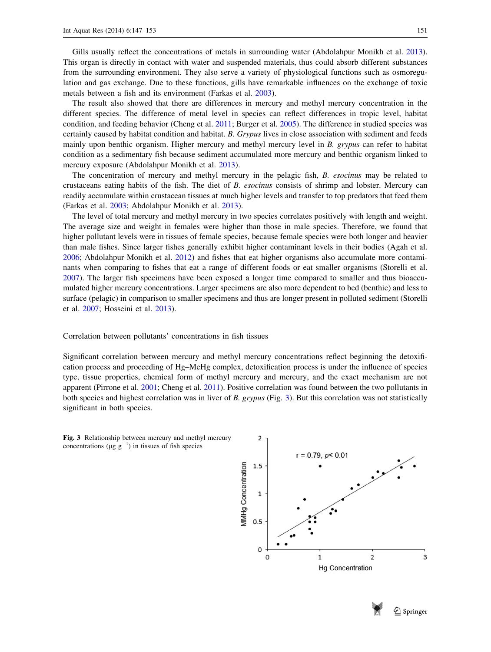Gills usually reflect the concentrations of metals in surrounding water (Abdolahpur Monikh et al. [2013\)](#page-5-0). This organ is directly in contact with water and suspended materials, thus could absorb different substances from the surrounding environment. They also serve a variety of physiological functions such as osmoregulation and gas exchange. Due to these functions, gills have remarkable influences on the exchange of toxic metals between a fish and its environment (Farkas et al. [2003\)](#page-5-0).

The result also showed that there are differences in mercury and methyl mercury concentration in the different species. The difference of metal level in species can reflect differences in tropic level, habitat condition, and feeding behavior (Cheng et al. [2011](#page-5-0); Burger et al. [2005\)](#page-5-0). The difference in studied species was certainly caused by habitat condition and habitat. B. Grypus lives in close association with sediment and feeds mainly upon benthic organism. Higher mercury and methyl mercury level in B. grypus can refer to habitat condition as a sedimentary fish because sediment accumulated more mercury and benthic organism linked to mercury exposure (Abdolahpur Monikh et al. [2013\)](#page-5-0).

The concentration of mercury and methyl mercury in the pelagic fish, B. esocinus may be related to crustaceans eating habits of the fish. The diet of B. esocinus consists of shrimp and lobster. Mercury can readily accumulate within crustacean tissues at much higher levels and transfer to top predators that feed them (Farkas et al. [2003](#page-5-0); Abdolahpur Monikh et al. [2013](#page-5-0)).

The level of total mercury and methyl mercury in two species correlates positively with length and weight. The average size and weight in females were higher than those in male species. Therefore, we found that higher pollutant levels were in tissues of female species, because female species were both longer and heavier than male fishes. Since larger fishes generally exhibit higher contaminant levels in their bodies (Agah et al. [2006](#page-5-0); Abdolahpur Monikh et al. [2012\)](#page-5-0) and fishes that eat higher organisms also accumulate more contaminants when comparing to fishes that eat a range of different foods or eat smaller organisms (Storelli et al. [2007](#page-6-0)). The larger fish specimens have been exposed a longer time compared to smaller and thus bioaccumulated higher mercury concentrations. Larger specimens are also more dependent to bed (benthic) and less to surface (pelagic) in comparison to smaller specimens and thus are longer present in polluted sediment (Storelli et al. [2007](#page-6-0); Hosseini et al. [2013](#page-5-0)).

#### Correlation between pollutants' concentrations in fish tissues

Significant correlation between mercury and methyl mercury concentrations reflect beginning the detoxification process and proceeding of Hg–MeHg complex, detoxification process is under the influence of species type, tissue properties, chemical form of methyl mercury and mercury, and the exact mechanism are not apparent (Pirrone et al. [2001](#page-5-0); Cheng et al. [2011](#page-5-0)). Positive correlation was found between the two pollutants in both species and highest correlation was in liver of B. grypus (Fig. 3). But this correlation was not statistically significant in both species.



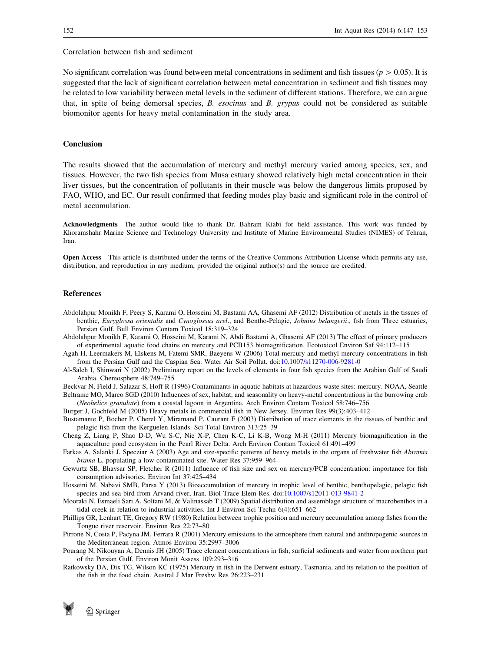<span id="page-5-0"></span>Correlation between fish and sediment

No significant correlation was found between metal concentrations in sediment and fish tissues ( $p > 0.05$ ). It is suggested that the lack of significant correlation between metal concentration in sediment and fish tissues may be related to low variability between metal levels in the sediment of different stations. Therefore, we can argue that, in spite of being demersal species, B. esocinus and B. grypus could not be considered as suitable biomonitor agents for heavy metal contamination in the study area.

## **Conclusion**

The results showed that the accumulation of mercury and methyl mercury varied among species, sex, and tissues. However, the two fish species from Musa estuary showed relatively high metal concentration in their liver tissues, but the concentration of pollutants in their muscle was below the dangerous limits proposed by FAO, WHO, and EC. Our result confirmed that feeding modes play basic and significant role in the control of metal accumulation.

Acknowledgments The author would like to thank Dr. Bahram Kiabi for field assistance. This work was funded by Khoramshahr Marine Science and Technology University and Institute of Marine Environmental Studies (NIMES) of Tehran, Iran.

Open Access This article is distributed under the terms of the Creative Commons Attribution License which permits any use, distribution, and reproduction in any medium, provided the original author(s) and the source are credited.

#### References

- Abdolahpur Monikh F, Peery S, Karami O, Hosseini M, Bastami AA, Ghasemi AF (2012) Distribution of metals in the tissues of benthic, Euryglossa orientalis and Cynoglossus arel., and Bentho-Pelagic, Johnius belangerii., fish from Three estuaries, Persian Gulf. Bull Environ Contam Toxicol 18:319–324
- Abdolahpur Monikh F, Karami O, Hosseini M, Karami N, Abdi Bastami A, Ghasemi AF (2013) The effect of primary producers of experimental aquatic food chains on mercury and PCB153 biomagnification. Ecotoxicol Environ Saf 94:112–115

Agah H, Leermakers M, Elskens M, Fatemi SMR, Baeyens W (2006) Total mercury and methyl mercury concentrations in fish from the Persian Gulf and the Caspian Sea. Water Air Soil Pollut. doi:[10.1007/s11270-006-9281-0](http://dx.doi.org/10.1007/s11270-006-9281-0)

Al-Saleh I, Shinwari N (2002) Preliminary report on the levels of elements in four fish species from the Arabian Gulf of Saudi Arabia. Chemosphere 48:749–755

Beckvar N, Field J, Salazar S, Hoff R (1996) Contaminants in aquatic habitats at hazardous waste sites: mercury. NOAA, Seattle

Beltrame MO, Marco SGD (2010) Influences of sex, habitat, and seasonality on heavy-metal concentrations in the burrowing crab (Neohelice granulate) from a coastal lagoon in Argentina. Arch Environ Contam Toxicol 58:746–756

Burger J, Gochfeld M (2005) Heavy metals in commercial fish in New Jersey. Environ Res 99(3):403–412

Bustamante P, Bocher P, Cherel Y, Miramand P, Caurant F (2003) Distribution of trace elements in the tissues of benthic and pelagic fish from the Kerguelen Islands. Sci Total Environ 313:25–39

Cheng Z, Liang P, Shao D-D, Wu S-C, Nie X-P, Chen K-C, Li K-B, Wong M-H (2011) Mercury biomagnification in the aquaculture pond ecosystem in the Pearl River Delta. Arch Environ Contam Toxicol 61:491–499

Farkas A, Salanki J, Specziar A (2003) Age and size-specific patterns of heavy metals in the organs of freshwater fish Abramis brama L. populating a low-contaminated site. Water Res 37:959–964

Gewurtz SB, Bhavsar SP, Fletcher R (2011) Influence of fish size and sex on mercury/PCB concentration: importance for fish consumption advisories. Environ Int 37:425–434

Hosseini M, Nabavi SMB, Parsa Y (2013) Bioaccumulation of mercury in trophic level of benthic, benthopelagic, pelagic fish species and sea bird from Arvand river, Iran. Biol Trace Elem Res. doi:[10.1007/s12011-013-9841-2](http://dx.doi.org/10.1007/s12011-013-9841-2)

Mooraki N, Esmaeli Sari A, Soltani M, & Valinassab T (2009) Spatial distribution and assemblage structure of macrobenthos in a tidal creek in relation to industrial activities. Int J Environ Sci Techn 6(4):651–662

Phillips GR, Lenhart TE, Gregory RW (1980) Relation between trophic position and mercury accumulation among fishes from the Tongue river reservoir. Environ Res 22:73–80

Pirrone N, Costa P, Pacyna JM, Ferrara R (2001) Mercury emissions to the atmosphere from natural and anthropogenic sources in the Mediterranean region. Atmos Environ 35:2997–3006

Pourang N, Nikouyan A, Dennis JH (2005) Trace element concentrations in fish, surficial sediments and water from northern part of the Persian Gulf. Environ Monit Assess 109:293–316

Ratkowsky DA, Dix TG, Wilson KC (1975) Mercury in fish in the Derwent estuary, Tasmania, and its relation to the position of the fish in the food chain. Austral J Mar Freshw Res 26:223–231